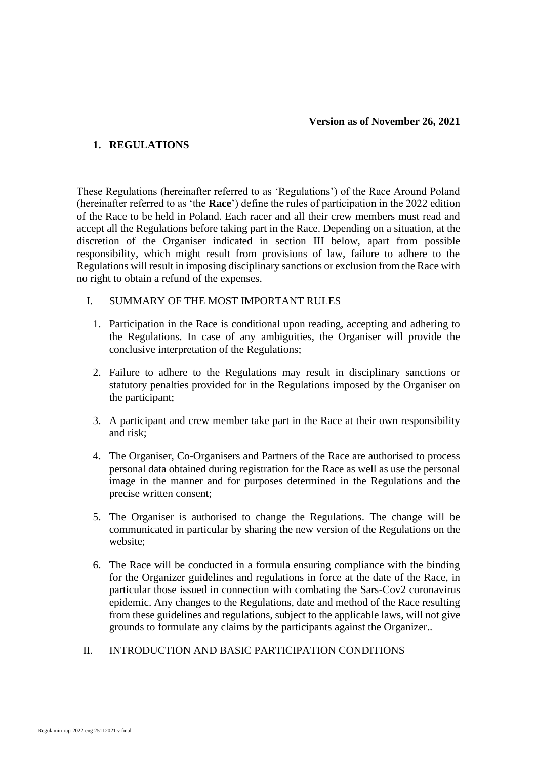## **1. REGULATIONS**

These Regulations (hereinafter referred to as 'Regulations') of the Race Around Poland (hereinafter referred to as 'the **Race**') define the rules of participation in the 2022 edition of the Race to be held in Poland. Each racer and all their crew members must read and accept all the Regulations before taking part in the Race. Depending on a situation, at the discretion of the Organiser indicated in section III below, apart from possible responsibility, which might result from provisions of law, failure to adhere to the Regulations will result in imposing disciplinary sanctions or exclusion from the Race with no right to obtain a refund of the expenses.

#### I. SUMMARY OF THE MOST IMPORTANT RULES

- 1. Participation in the Race is conditional upon reading, accepting and adhering to the Regulations. In case of any ambiguities, the Organiser will provide the conclusive interpretation of the Regulations;
- 2. Failure to adhere to the Regulations may result in disciplinary sanctions or statutory penalties provided for in the Regulations imposed by the Organiser on the participant;
- 3. A participant and crew member take part in the Race at their own responsibility and risk;
- 4. The Organiser, Co-Organisers and Partners of the Race are authorised to process personal data obtained during registration for the Race as well as use the personal image in the manner and for purposes determined in the Regulations and the precise written consent;
- 5. The Organiser is authorised to change the Regulations. The change will be communicated in particular by sharing the new version of the Regulations on the website;
- 6. The Race will be conducted in a formula ensuring compliance with the binding for the Organizer guidelines and regulations in force at the date of the Race, in particular those issued in connection with combating the Sars-Cov2 coronavirus epidemic. Any changes to the Regulations, date and method of the Race resulting from these guidelines and regulations, subject to the applicable laws, will not give grounds to formulate any claims by the participants against the Organizer..
- II. INTRODUCTION AND BASIC PARTICIPATION CONDITIONS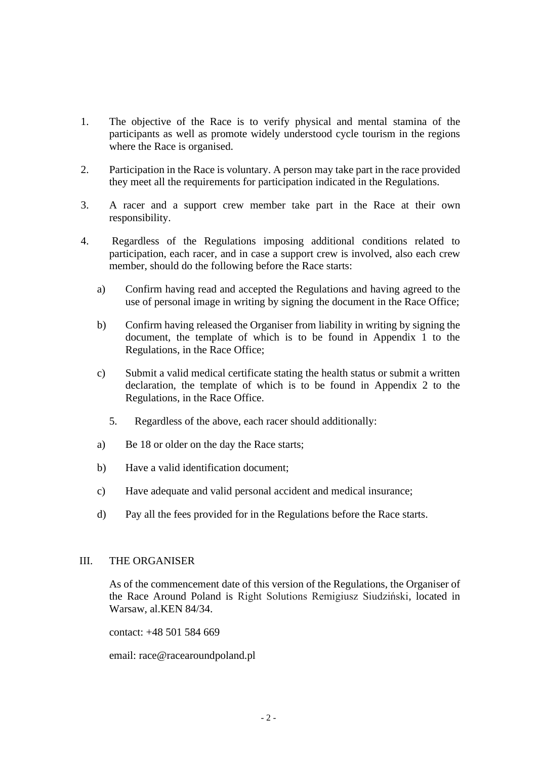- 1. The objective of the Race is to verify physical and mental stamina of the participants as well as promote widely understood cycle tourism in the regions where the Race is organised.
- 2. Participation in the Race is voluntary. A person may take part in the race provided they meet all the requirements for participation indicated in the Regulations.
- 3. A racer and a support crew member take part in the Race at their own responsibility.
- 4. Regardless of the Regulations imposing additional conditions related to participation, each racer, and in case a support crew is involved, also each crew member, should do the following before the Race starts:
	- a) Confirm having read and accepted the Regulations and having agreed to the use of personal image in writing by signing the document in the Race Office;
	- b) Confirm having released the Organiser from liability in writing by signing the document, the template of which is to be found in Appendix 1 to the Regulations, in the Race Office;
	- c) Submit a valid medical certificate stating the health status or submit a written declaration, the template of which is to be found in Appendix 2 to the Regulations, in the Race Office.
		- 5. Regardless of the above, each racer should additionally:
	- a) Be 18 or older on the day the Race starts;
	- b) Have a valid identification document;
	- c) Have adequate and valid personal accident and medical insurance;
	- d) Pay all the fees provided for in the Regulations before the Race starts.

#### III. THE ORGANISER

As of the commencement date of this version of the Regulations, the Organiser of the Race Around Poland is Right Solutions Remigiusz Siudziński, located in Warsaw, al.KEN 84/34.

contact: +48 501 584 669

email: race@racearoundpoland.pl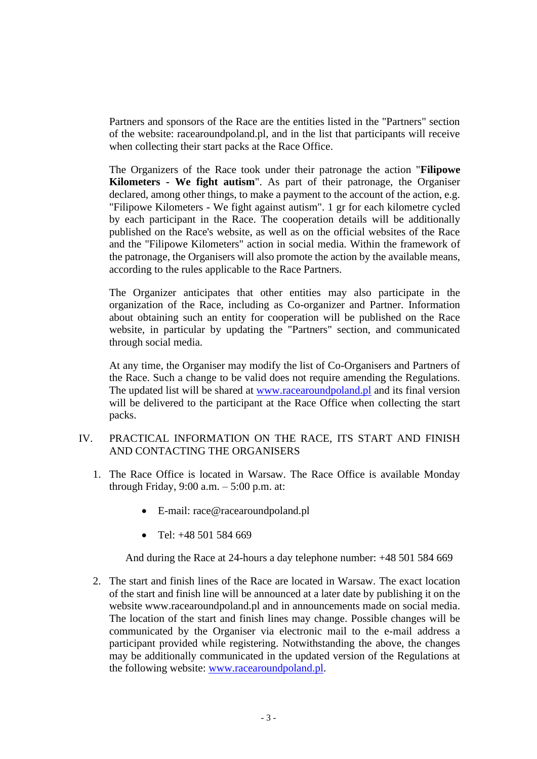Partners and sponsors of the Race are the entities listed in the "Partners" section of the website: racearoundpoland.pl, and in the list that participants will receive when collecting their start packs at the Race Office.

The Organizers of the Race took under their patronage the action "**Filipowe Kilometers - We fight autism**". As part of their patronage, the Organiser declared, among other things, to make a payment to the account of the action, e.g. "Filipowe Kilometers - We fight against autism". 1 gr for each kilometre cycled by each participant in the Race. The cooperation details will be additionally published on the Race's website, as well as on the official websites of the Race and the "Filipowe Kilometers" action in social media. Within the framework of the patronage, the Organisers will also promote the action by the available means, according to the rules applicable to the Race Partners.

The Organizer anticipates that other entities may also participate in the organization of the Race, including as Co-organizer and Partner. Information about obtaining such an entity for cooperation will be published on the Race website, in particular by updating the "Partners" section, and communicated through social media.

At any time, the Organiser may modify the list of Co-Organisers and Partners of the Race. Such a change to be valid does not require amending the Regulations. The updated list will be shared at [www.racearoundpoland.pl](http://www.racearoundpoland.pl/) and its final version will be delivered to the participant at the Race Office when collecting the start packs.

- IV. PRACTICAL INFORMATION ON THE RACE, ITS START AND FINISH AND CONTACTING THE ORGANISERS
	- 1. The Race Office is located in Warsaw. The Race Office is available Monday through Friday, 9:00 a.m. – 5:00 p.m. at:
		- E-mail: race@racearoundpoland.pl
		- Tel:  $+48,501,584,669$

And during the Race at 24-hours a day telephone number: +48 501 584 669

2. The start and finish lines of the Race are located in Warsaw. The exact location of the start and finish line will be announced at a later date by publishing it on the website www.racearoundpoland.pl and in announcements made on social media. The location of the start and finish lines may change. Possible changes will be communicated by the Organiser via electronic mail to the e-mail address a participant provided while registering. Notwithstanding the above, the changes may be additionally communicated in the updated version of the Regulations at the following website: [www.racearoundpoland.pl.](http://www.racearoundpoland.pl/)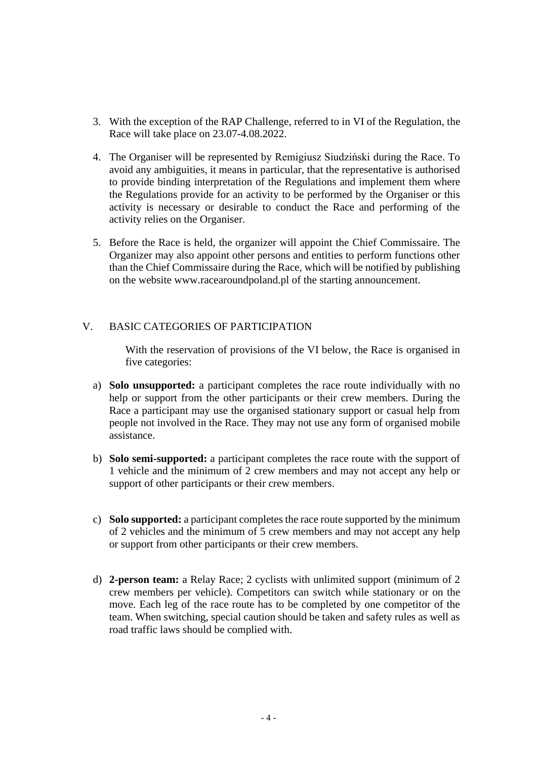- 3. With the exception of the RAP Challenge, referred to in VI of the Regulation, the Race will take place on 23.07-4.08.2022.
- 4. The Organiser will be represented by Remigiusz Siudziński during the Race. To avoid any ambiguities, it means in particular, that the representative is authorised to provide binding interpretation of the Regulations and implement them where the Regulations provide for an activity to be performed by the Organiser or this activity is necessary or desirable to conduct the Race and performing of the activity relies on the Organiser.
- 5. Before the Race is held, the organizer will appoint the Chief Commissaire. The Organizer may also appoint other persons and entities to perform functions other than the Chief Commissaire during the Race, which will be notified by publishing on the website www.racearoundpoland.pl of the starting announcement.

## V. BASIC CATEGORIES OF PARTICIPATION

With the reservation of provisions of the VI below, the Race is organised in five categories:

- a) **Solo unsupported:** a participant completes the race route individually with no help or support from the other participants or their crew members. During the Race a participant may use the organised stationary support or casual help from people not involved in the Race. They may not use any form of organised mobile assistance.
- b) **Solo semi-supported:** a participant completes the race route with the support of 1 vehicle and the minimum of 2 crew members and may not accept any help or support of other participants or their crew members.
- c) **Solo supported:** a participant completes the race route supported by the minimum of 2 vehicles and the minimum of 5 crew members and may not accept any help or support from other participants or their crew members.
- d) **2-person team:** a Relay Race; 2 cyclists with unlimited support (minimum of 2 crew members per vehicle). Competitors can switch while stationary or on the move. Each leg of the race route has to be completed by one competitor of the team. When switching, special caution should be taken and safety rules as well as road traffic laws should be complied with.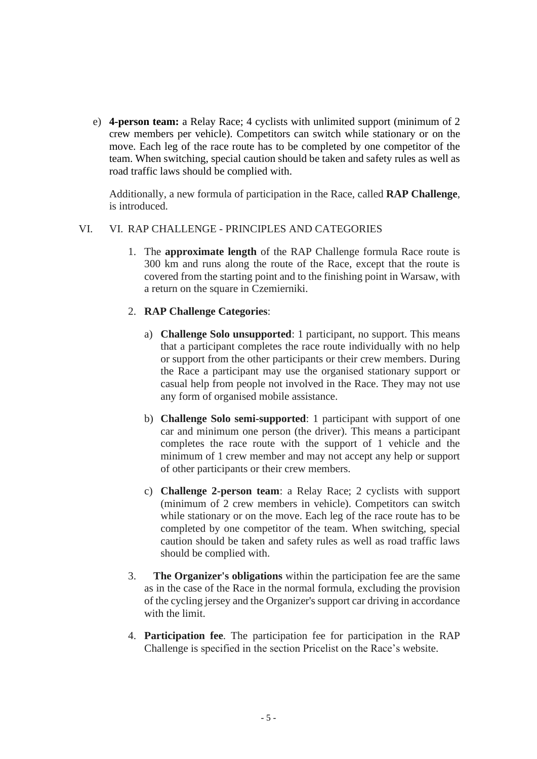e) **4-person team:** a Relay Race; 4 cyclists with unlimited support (minimum of 2 crew members per vehicle). Competitors can switch while stationary or on the move. Each leg of the race route has to be completed by one competitor of the team. When switching, special caution should be taken and safety rules as well as road traffic laws should be complied with.

Additionally, a new formula of participation in the Race, called **RAP Challenge**, is introduced.

#### VI. VI. RAP CHALLENGE - PRINCIPLES AND CATEGORIES

1. The **approximate length** of the RAP Challenge formula Race route is 300 km and runs along the route of the Race, except that the route is covered from the starting point and to the finishing point in Warsaw, with a return on the square in Czemierniki.

## 2. **RAP Challenge Categories**:

- a) **Challenge Solo unsupported**: 1 participant, no support. This means that a participant completes the race route individually with no help or support from the other participants or their crew members. During the Race a participant may use the organised stationary support or casual help from people not involved in the Race. They may not use any form of organised mobile assistance.
- b) **Challenge Solo semi-supported**: 1 participant with support of one car and minimum one person (the driver). This means a participant completes the race route with the support of 1 vehicle and the minimum of 1 crew member and may not accept any help or support of other participants or their crew members.
- c) **Challenge 2-person team**: a Relay Race; 2 cyclists with support (minimum of 2 crew members in vehicle). Competitors can switch while stationary or on the move. Each leg of the race route has to be completed by one competitor of the team. When switching, special caution should be taken and safety rules as well as road traffic laws should be complied with.
- 3. **The Organizer's obligations** within the participation fee are the same as in the case of the Race in the normal formula, excluding the provision of the cycling jersey and the Organizer's support car driving in accordance with the limit.
- 4. **Participation fee**. The participation fee for participation in the RAP Challenge is specified in the section Pricelist on the Race's website.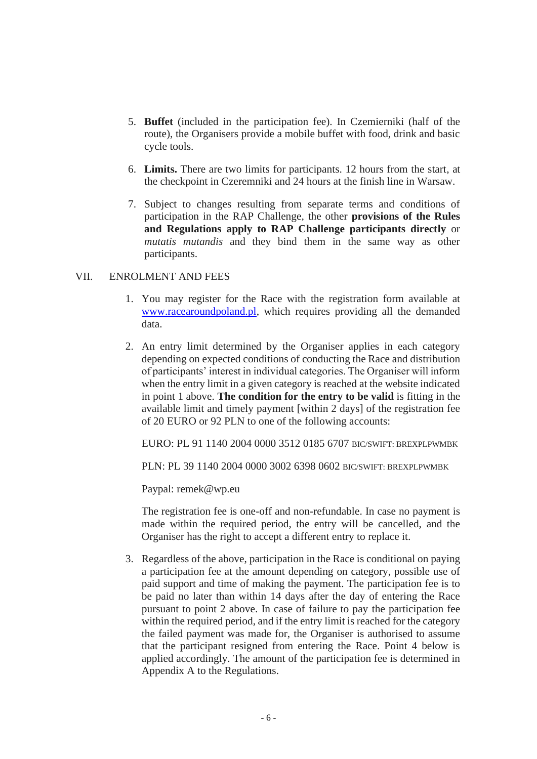- 5. **Buffet** (included in the participation fee). In Czemierniki (half of the route), the Organisers provide a mobile buffet with food, drink and basic cycle tools.
- 6. **Limits.** There are two limits for participants. 12 hours from the start, at the checkpoint in Czeremniki and 24 hours at the finish line in Warsaw.
- 7. Subject to changes resulting from separate terms and conditions of participation in the RAP Challenge, the other **provisions of the Rules and Regulations apply to RAP Challenge participants directly** or *mutatis mutandis* and they bind them in the same way as other participants.

### VII. ENROLMENT AND FEES

- 1. You may register for the Race with the registration form available at [www.racearoundpoland.pl,](http://www.racearoundpoland.pl/) which requires providing all the demanded data.
- 2. An entry limit determined by the Organiser applies in each category depending on expected conditions of conducting the Race and distribution of participants' interest in individual categories. The Organiser will inform when the entry limit in a given category is reached at the website indicated in point 1 above. **The condition for the entry to be valid** is fitting in the available limit and timely payment [within 2 days] of the registration fee of 20 EURO or 92 PLN to one of the following accounts:

EURO: PL 91 1140 2004 0000 3512 0185 6707 BIC/SWIFT: BREXPLPWMBK

PLN: PL 39 1140 2004 0000 3002 6398 0602 BIC/SWIFT: BREXPLPWMBK

Paypal: remek@wp.eu

The registration fee is one-off and non-refundable. In case no payment is made within the required period, the entry will be cancelled, and the Organiser has the right to accept a different entry to replace it.

3. Regardless of the above, participation in the Race is conditional on paying a participation fee at the amount depending on category, possible use of paid support and time of making the payment. The participation fee is to be paid no later than within 14 days after the day of entering the Race pursuant to point 2 above. In case of failure to pay the participation fee within the required period, and if the entry limit is reached for the category the failed payment was made for, the Organiser is authorised to assume that the participant resigned from entering the Race. Point 4 below is applied accordingly. The amount of the participation fee is determined in Appendix A to the Regulations.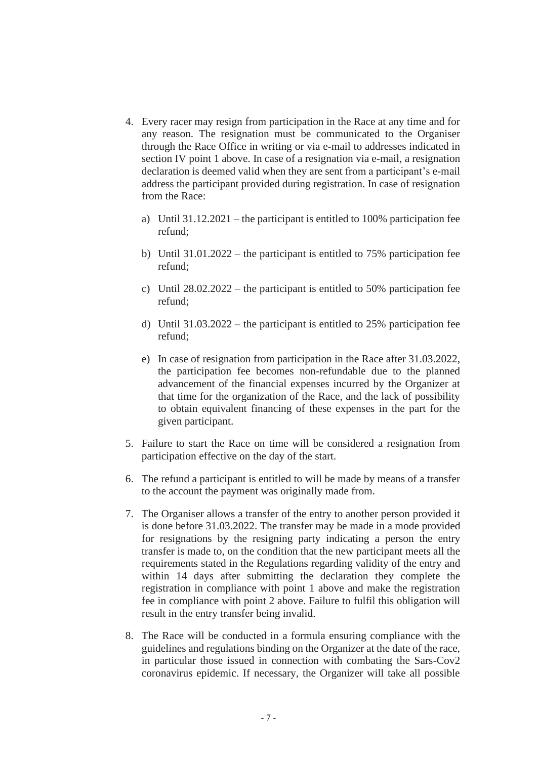- 4. Every racer may resign from participation in the Race at any time and for any reason. The resignation must be communicated to the Organiser through the Race Office in writing or via e-mail to addresses indicated in section IV point 1 above. In case of a resignation via e-mail, a resignation declaration is deemed valid when they are sent from a participant's e-mail address the participant provided during registration. In case of resignation from the Race:
	- a) Until 31.12.2021 the participant is entitled to 100% participation fee refund;
	- b) Until 31.01.2022 the participant is entitled to 75% participation fee refund;
	- c) Until  $28.02.2022$  the participant is entitled to 50% participation fee refund;
	- d) Until  $31.03.2022$  the participant is entitled to 25% participation fee refund;
	- e) In case of resignation from participation in the Race after 31.03.2022, the participation fee becomes non-refundable due to the planned advancement of the financial expenses incurred by the Organizer at that time for the organization of the Race, and the lack of possibility to obtain equivalent financing of these expenses in the part for the given participant.
- 5. Failure to start the Race on time will be considered a resignation from participation effective on the day of the start.
- 6. The refund a participant is entitled to will be made by means of a transfer to the account the payment was originally made from.
- 7. The Organiser allows a transfer of the entry to another person provided it is done before 31.03.2022. The transfer may be made in a mode provided for resignations by the resigning party indicating a person the entry transfer is made to, on the condition that the new participant meets all the requirements stated in the Regulations regarding validity of the entry and within 14 days after submitting the declaration they complete the registration in compliance with point 1 above and make the registration fee in compliance with point 2 above. Failure to fulfil this obligation will result in the entry transfer being invalid.
- 8. The Race will be conducted in a formula ensuring compliance with the guidelines and regulations binding on the Organizer at the date of the race, in particular those issued in connection with combating the Sars-Cov2 coronavirus epidemic. If necessary, the Organizer will take all possible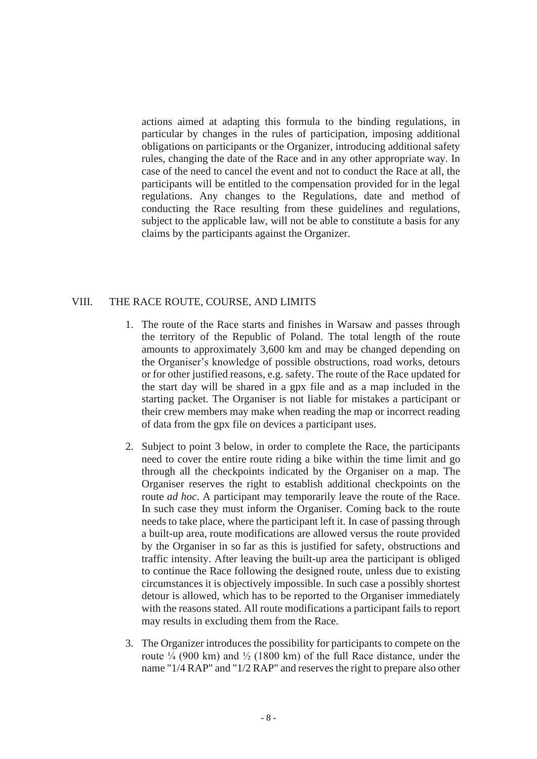actions aimed at adapting this formula to the binding regulations, in particular by changes in the rules of participation, imposing additional obligations on participants or the Organizer, introducing additional safety rules, changing the date of the Race and in any other appropriate way. In case of the need to cancel the event and not to conduct the Race at all, the participants will be entitled to the compensation provided for in the legal regulations. Any changes to the Regulations, date and method of conducting the Race resulting from these guidelines and regulations, subject to the applicable law, will not be able to constitute a basis for any claims by the participants against the Organizer.

#### VIII. THE RACE ROUTE, COURSE, AND LIMITS

- 1. The route of the Race starts and finishes in Warsaw and passes through the territory of the Republic of Poland. The total length of the route amounts to approximately 3,600 km and may be changed depending on the Organiser's knowledge of possible obstructions, road works, detours or for other justified reasons, e.g. safety. The route of the Race updated for the start day will be shared in a gpx file and as a map included in the starting packet. The Organiser is not liable for mistakes a participant or their crew members may make when reading the map or incorrect reading of data from the gpx file on devices a participant uses.
- 2. Subject to point 3 below, in order to complete the Race, the participants need to cover the entire route riding a bike within the time limit and go through all the checkpoints indicated by the Organiser on a map. The Organiser reserves the right to establish additional checkpoints on the route *ad hoc*. A participant may temporarily leave the route of the Race. In such case they must inform the Organiser. Coming back to the route needs to take place, where the participant left it. In case of passing through a built-up area, route modifications are allowed versus the route provided by the Organiser in so far as this is justified for safety, obstructions and traffic intensity. After leaving the built-up area the participant is obliged to continue the Race following the designed route, unless due to existing circumstances it is objectively impossible. In such case a possibly shortest detour is allowed, which has to be reported to the Organiser immediately with the reasons stated. All route modifications a participant fails to report may results in excluding them from the Race.
- 3. The Organizer introduces the possibility for participants to compete on the route  $\frac{1}{4}$  (900 km) and  $\frac{1}{2}$  (1800 km) of the full Race distance, under the name "1/4 RAP" and "1/2 RAP" and reserves the right to prepare also other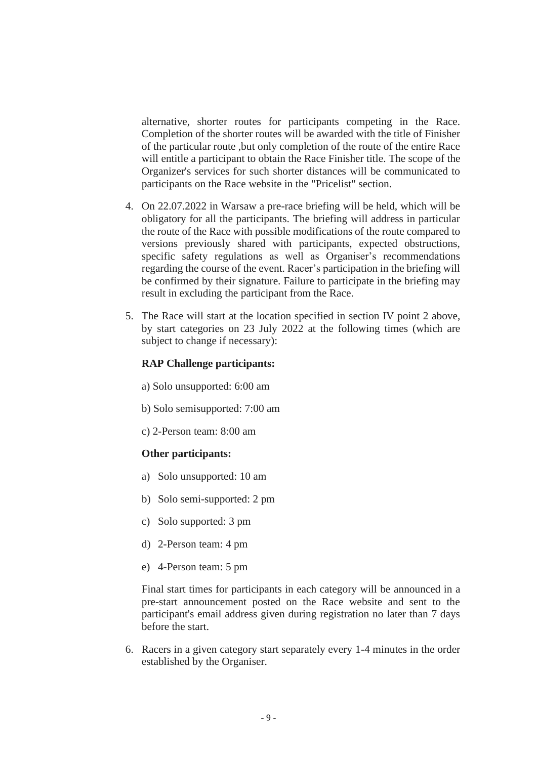alternative, shorter routes for participants competing in the Race. Completion of the shorter routes will be awarded with the title of Finisher of the particular route ,but only completion of the route of the entire Race will entitle a participant to obtain the Race Finisher title. The scope of the Organizer's services for such shorter distances will be communicated to participants on the Race website in the "Pricelist" section.

- 4. On 22.07.2022 in Warsaw a pre-race briefing will be held, which will be obligatory for all the participants. The briefing will address in particular the route of the Race with possible modifications of the route compared to versions previously shared with participants, expected obstructions, specific safety regulations as well as Organiser's recommendations regarding the course of the event. Racer's participation in the briefing will be confirmed by their signature. Failure to participate in the briefing may result in excluding the participant from the Race.
- 5. The Race will start at the location specified in section IV point 2 above, by start categories on 23 July 2022 at the following times (which are subject to change if necessary):

#### **RAP Challenge participants:**

- a) Solo unsupported: 6:00 am
- b) Solo semisupported: 7:00 am
- c) 2-Person team: 8:00 am

#### **Other participants:**

- a) Solo unsupported: 10 am
- b) Solo semi-supported: 2 pm
- c) Solo supported: 3 pm
- d) 2-Person team: 4 pm
- e) 4-Person team: 5 pm

Final start times for participants in each category will be announced in a pre-start announcement posted on the Race website and sent to the participant's email address given during registration no later than 7 days before the start.

6. Racers in a given category start separately every 1-4 minutes in the order established by the Organiser.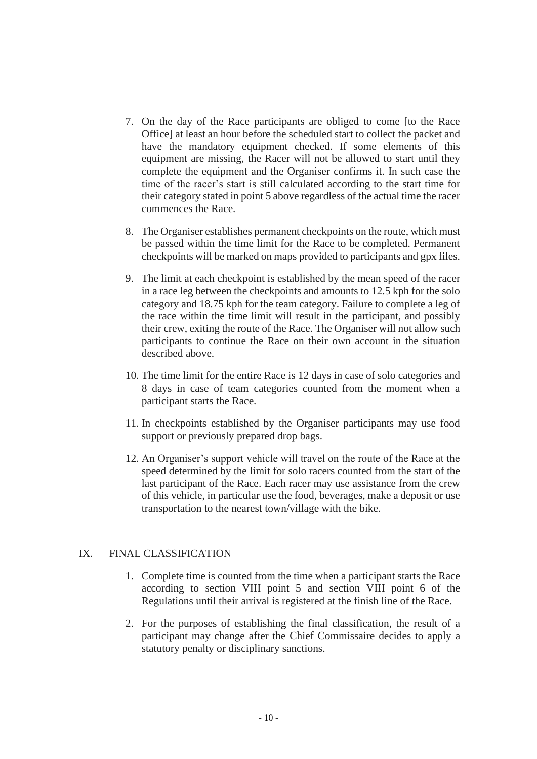- 7. On the day of the Race participants are obliged to come [to the Race Office] at least an hour before the scheduled start to collect the packet and have the mandatory equipment checked. If some elements of this equipment are missing, the Racer will not be allowed to start until they complete the equipment and the Organiser confirms it. In such case the time of the racer's start is still calculated according to the start time for their category stated in point 5 above regardless of the actual time the racer commences the Race.
- 8. The Organiser establishes permanent checkpoints on the route, which must be passed within the time limit for the Race to be completed. Permanent checkpoints will be marked on maps provided to participants and gpx files.
- 9. The limit at each checkpoint is established by the mean speed of the racer in a race leg between the checkpoints and amounts to 12.5 kph for the solo category and 18.75 kph for the team category. Failure to complete a leg of the race within the time limit will result in the participant, and possibly their crew, exiting the route of the Race. The Organiser will not allow such participants to continue the Race on their own account in the situation described above.
- 10. The time limit for the entire Race is 12 days in case of solo categories and 8 days in case of team categories counted from the moment when a participant starts the Race.
- 11. In checkpoints established by the Organiser participants may use food support or previously prepared drop bags.
- 12. An Organiser's support vehicle will travel on the route of the Race at the speed determined by the limit for solo racers counted from the start of the last participant of the Race. Each racer may use assistance from the crew of this vehicle, in particular use the food, beverages, make a deposit or use transportation to the nearest town/village with the bike.

## IX. FINAL CLASSIFICATION

- 1. Complete time is counted from the time when a participant starts the Race according to section VIII point 5 and section VIII point 6 of the Regulations until their arrival is registered at the finish line of the Race.
- 2. For the purposes of establishing the final classification, the result of a participant may change after the Chief Commissaire decides to apply a statutory penalty or disciplinary sanctions.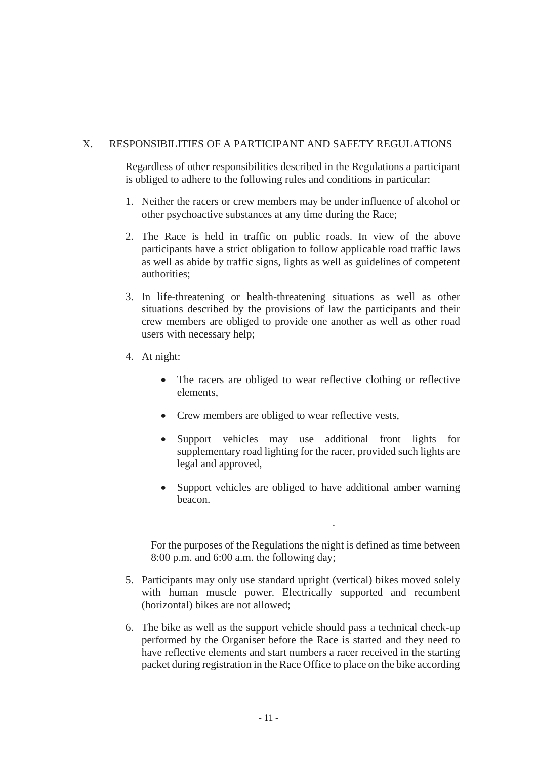## X. RESPONSIBILITIES OF A PARTICIPANT AND SAFETY REGULATIONS

Regardless of other responsibilities described in the Regulations a participant is obliged to adhere to the following rules and conditions in particular:

- 1. Neither the racers or crew members may be under influence of alcohol or other psychoactive substances at any time during the Race;
- 2. The Race is held in traffic on public roads. In view of the above participants have a strict obligation to follow applicable road traffic laws as well as abide by traffic signs, lights as well as guidelines of competent authorities;
- 3. In life-threatening or health-threatening situations as well as other situations described by the provisions of law the participants and their crew members are obliged to provide one another as well as other road users with necessary help;
- 4. At night:
	- The racers are obliged to wear reflective clothing or reflective elements,
	- Crew members are obliged to wear reflective vests,
	- Support vehicles may use additional front lights for supplementary road lighting for the racer, provided such lights are legal and approved,
	- Support vehicles are obliged to have additional amber warning beacon.

.

For the purposes of the Regulations the night is defined as time between 8:00 p.m. and 6:00 a.m. the following day;

- 5. Participants may only use standard upright (vertical) bikes moved solely with human muscle power. Electrically supported and recumbent (horizontal) bikes are not allowed;
- 6. The bike as well as the support vehicle should pass a technical check-up performed by the Organiser before the Race is started and they need to have reflective elements and start numbers a racer received in the starting packet during registration in the Race Office to place on the bike according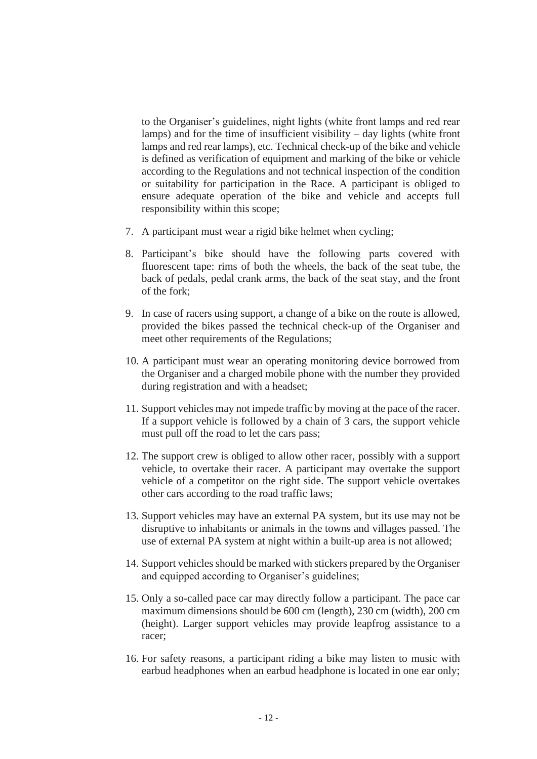to the Organiser's guidelines, night lights (white front lamps and red rear lamps) and for the time of insufficient visibility – day lights (white front lamps and red rear lamps), etc. Technical check-up of the bike and vehicle is defined as verification of equipment and marking of the bike or vehicle according to the Regulations and not technical inspection of the condition or suitability for participation in the Race. A participant is obliged to ensure adequate operation of the bike and vehicle and accepts full responsibility within this scope;

- 7. A participant must wear a rigid bike helmet when cycling;
- 8. Participant's bike should have the following parts covered with fluorescent tape: rims of both the wheels, the back of the seat tube, the back of pedals, pedal crank arms, the back of the seat stay, and the front of the fork;
- 9. In case of racers using support, a change of a bike on the route is allowed, provided the bikes passed the technical check-up of the Organiser and meet other requirements of the Regulations;
- 10. A participant must wear an operating monitoring device borrowed from the Organiser and a charged mobile phone with the number they provided during registration and with a headset;
- 11. Support vehicles may not impede traffic by moving at the pace of the racer. If a support vehicle is followed by a chain of 3 cars, the support vehicle must pull off the road to let the cars pass;
- 12. The support crew is obliged to allow other racer, possibly with a support vehicle, to overtake their racer. A participant may overtake the support vehicle of a competitor on the right side. The support vehicle overtakes other cars according to the road traffic laws;
- 13. Support vehicles may have an external PA system, but its use may not be disruptive to inhabitants or animals in the towns and villages passed. The use of external PA system at night within a built-up area is not allowed;
- 14. Support vehicles should be marked with stickers prepared by the Organiser and equipped according to Organiser's guidelines;
- 15. Only a so-called pace car may directly follow a participant. The pace car maximum dimensions should be 600 cm (length), 230 cm (width), 200 cm (height). Larger support vehicles may provide leapfrog assistance to a racer;
- 16. For safety reasons, a participant riding a bike may listen to music with earbud headphones when an earbud headphone is located in one ear only;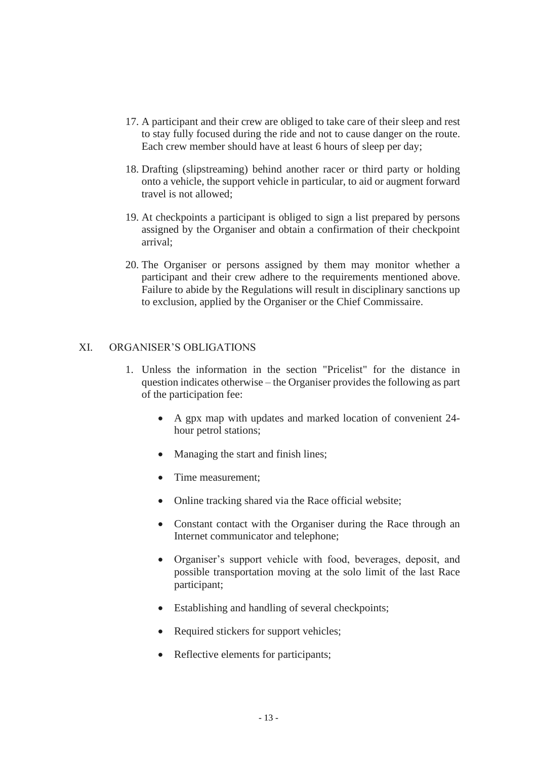- 17. A participant and their crew are obliged to take care of their sleep and rest to stay fully focused during the ride and not to cause danger on the route. Each crew member should have at least 6 hours of sleep per day;
- 18. Drafting (slipstreaming) behind another racer or third party or holding onto a vehicle, the support vehicle in particular, to aid or augment forward travel is not allowed;
- 19. At checkpoints a participant is obliged to sign a list prepared by persons assigned by the Organiser and obtain a confirmation of their checkpoint arrival;
- 20. The Organiser or persons assigned by them may monitor whether a participant and their crew adhere to the requirements mentioned above. Failure to abide by the Regulations will result in disciplinary sanctions up to exclusion, applied by the Organiser or the Chief Commissaire.

### XI. ORGANISER'S OBLIGATIONS

- 1. Unless the information in the section "Pricelist" for the distance in question indicates otherwise – the Organiser provides the following as part of the participation fee:
	- A gpx map with updates and marked location of convenient 24 hour petrol stations;
	- Managing the start and finish lines;
	- Time measurement:
	- Online tracking shared via the Race official website;
	- Constant contact with the Organiser during the Race through an Internet communicator and telephone;
	- Organiser's support vehicle with food, beverages, deposit, and possible transportation moving at the solo limit of the last Race participant;
	- Establishing and handling of several checkpoints;
	- Required stickers for support vehicles;
	- Reflective elements for participants;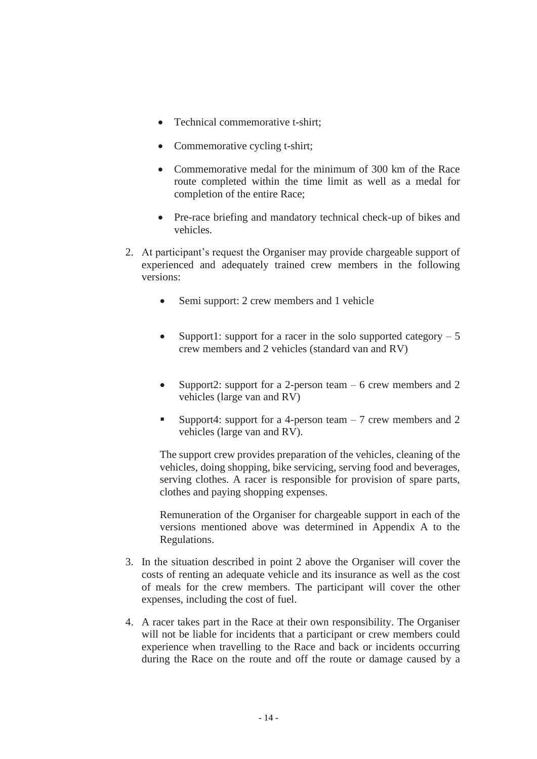- Technical commemorative t-shirt:
- Commemorative cycling t-shirt;
- Commemorative medal for the minimum of 300 km of the Race route completed within the time limit as well as a medal for completion of the entire Race;
- Pre-race briefing and mandatory technical check-up of bikes and vehicles.
- 2. At participant's request the Organiser may provide chargeable support of experienced and adequately trained crew members in the following versions:
	- Semi support: 2 crew members and 1 vehicle
	- Support1: support for a racer in the solo supported category  $-5$ crew members and 2 vehicles (standard van and RV)
	- Support2: support for a 2-person team 6 crew members and 2 vehicles (large van and RV)
	- **•** Support4: support for a 4-person team  $-7$  crew members and 2 vehicles (large van and RV).

The support crew provides preparation of the vehicles, cleaning of the vehicles, doing shopping, bike servicing, serving food and beverages, serving clothes. A racer is responsible for provision of spare parts, clothes and paying shopping expenses.

Remuneration of the Organiser for chargeable support in each of the versions mentioned above was determined in Appendix A to the Regulations.

- 3. In the situation described in point 2 above the Organiser will cover the costs of renting an adequate vehicle and its insurance as well as the cost of meals for the crew members. The participant will cover the other expenses, including the cost of fuel.
- 4. A racer takes part in the Race at their own responsibility. The Organiser will not be liable for incidents that a participant or crew members could experience when travelling to the Race and back or incidents occurring during the Race on the route and off the route or damage caused by a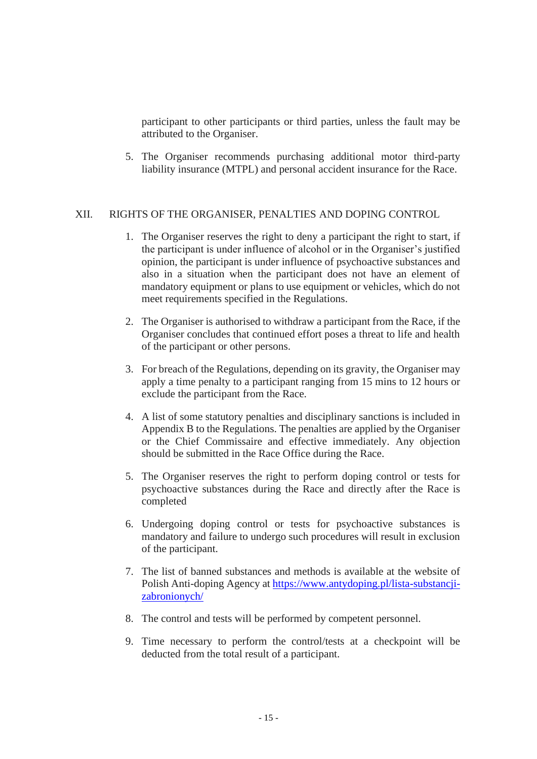participant to other participants or third parties, unless the fault may be attributed to the Organiser.

5. The Organiser recommends purchasing additional motor third-party liability insurance (MTPL) and personal accident insurance for the Race.

#### XII. RIGHTS OF THE ORGANISER, PENALTIES AND DOPING CONTROL

- 1. The Organiser reserves the right to deny a participant the right to start, if the participant is under influence of alcohol or in the Organiser's justified opinion, the participant is under influence of psychoactive substances and also in a situation when the participant does not have an element of mandatory equipment or plans to use equipment or vehicles, which do not meet requirements specified in the Regulations.
- 2. The Organiser is authorised to withdraw a participant from the Race, if the Organiser concludes that continued effort poses a threat to life and health of the participant or other persons.
- 3. For breach of the Regulations, depending on its gravity, the Organiser may apply a time penalty to a participant ranging from 15 mins to 12 hours or exclude the participant from the Race.
- 4. A list of some statutory penalties and disciplinary sanctions is included in Appendix B to the Regulations. The penalties are applied by the Organiser or the Chief Commissaire and effective immediately. Any objection should be submitted in the Race Office during the Race.
- 5. The Organiser reserves the right to perform doping control or tests for psychoactive substances during the Race and directly after the Race is completed
- 6. Undergoing doping control or tests for psychoactive substances is mandatory and failure to undergo such procedures will result in exclusion of the participant.
- 7. The list of banned substances and methods is available at the website of Polish Anti-doping Agency at [https://www.antydoping.pl/lista-substancji](https://www.antydoping.pl/lista-substancji-zabronionych/)[zabronionych/](https://www.antydoping.pl/lista-substancji-zabronionych/)
- 8. The control and tests will be performed by competent personnel.
- 9. Time necessary to perform the control/tests at a checkpoint will be deducted from the total result of a participant.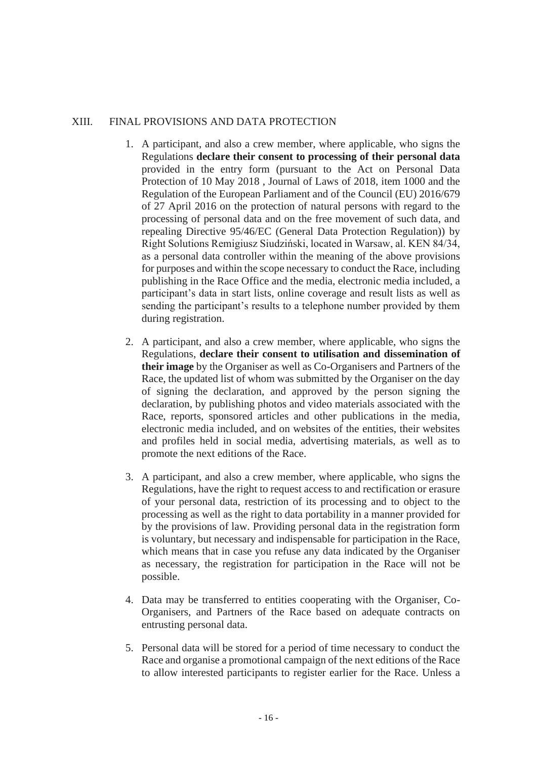## XIII. FINAL PROVISIONS AND DATA PROTECTION

- 1. A participant, and also a crew member, where applicable, who signs the Regulations **declare their consent to processing of their personal data** provided in the entry form (pursuant to the Act on Personal Data Protection of 10 May 2018 , Journal of Laws of 2018, item 1000 and the Regulation of the European Parliament and of the Council (EU) 2016/679 of 27 April 2016 on the protection of natural persons with regard to the processing of personal data and on the free movement of such data, and repealing Directive 95/46/EC (General Data Protection Regulation)) by Right Solutions Remigiusz Siudziński, located in Warsaw, al. KEN 84/34, as a personal data controller within the meaning of the above provisions for purposes and within the scope necessary to conduct the Race, including publishing in the Race Office and the media, electronic media included, a participant's data in start lists, online coverage and result lists as well as sending the participant's results to a telephone number provided by them during registration.
- 2. A participant, and also a crew member, where applicable, who signs the Regulations, **declare their consent to utilisation and dissemination of their image** by the Organiser as well as Co-Organisers and Partners of the Race, the updated list of whom was submitted by the Organiser on the day of signing the declaration, and approved by the person signing the declaration, by publishing photos and video materials associated with the Race, reports, sponsored articles and other publications in the media, electronic media included, and on websites of the entities, their websites and profiles held in social media, advertising materials, as well as to promote the next editions of the Race.
- 3. A participant, and also a crew member, where applicable, who signs the Regulations, have the right to request access to and rectification or erasure of your personal data, restriction of its processing and to object to the processing as well as the right to data portability in a manner provided for by the provisions of law. Providing personal data in the registration form is voluntary, but necessary and indispensable for participation in the Race, which means that in case you refuse any data indicated by the Organiser as necessary, the registration for participation in the Race will not be possible.
- 4. Data may be transferred to entities cooperating with the Organiser, Co-Organisers, and Partners of the Race based on adequate contracts on entrusting personal data.
- 5. Personal data will be stored for a period of time necessary to conduct the Race and organise a promotional campaign of the next editions of the Race to allow interested participants to register earlier for the Race. Unless a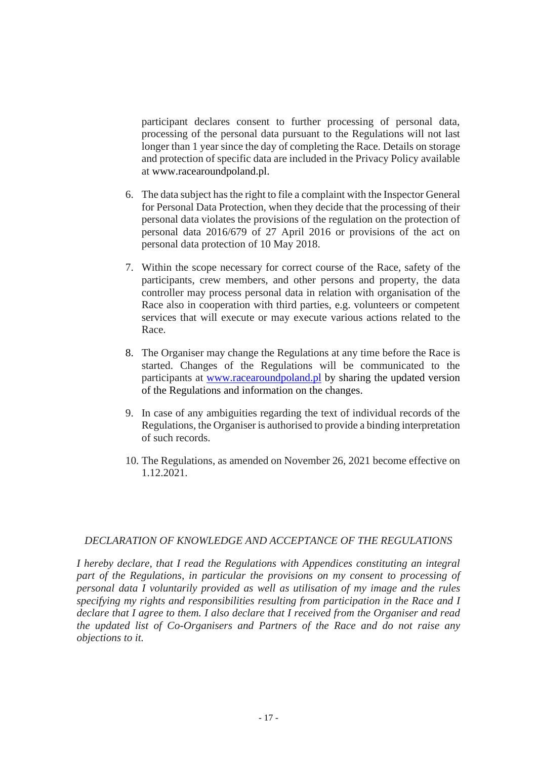participant declares consent to further processing of personal data, processing of the personal data pursuant to the Regulations will not last longer than 1 year since the day of completing the Race. Details on storage and protection of specific data are included in the Privacy Policy available at www.racearoundpoland.pl.

- 6. The data subject has the right to file a complaint with the Inspector General for Personal Data Protection, when they decide that the processing of their personal data violates the provisions of the regulation on the protection of personal data 2016/679 of 27 April 2016 or provisions of the act on personal data protection of 10 May 2018.
- 7. Within the scope necessary for correct course of the Race, safety of the participants, crew members, and other persons and property, the data controller may process personal data in relation with organisation of the Race also in cooperation with third parties, e.g. volunteers or competent services that will execute or may execute various actions related to the Race.
- 8. The Organiser may change the Regulations at any time before the Race is started. Changes of the Regulations will be communicated to the participants at [www.racearoundpoland.pl](http://www.racearoundpoland.pl/) by sharing the updated version of the Regulations and information on the changes.
- 9. In case of any ambiguities regarding the text of individual records of the Regulations, the Organiser is authorised to provide a binding interpretation of such records.
- 10. The Regulations, as amended on November 26, 2021 become effective on 1.12.2021.

## *DECLARATION OF KNOWLEDGE AND ACCEPTANCE OF THE REGULATIONS*

*I hereby declare, that I read the Regulations with Appendices constituting an integral part of the Regulations, in particular the provisions on my consent to processing of personal data I voluntarily provided as well as utilisation of my image and the rules specifying my rights and responsibilities resulting from participation in the Race and I declare that I agree to them. I also declare that I received from the Organiser and read the updated list of Co-Organisers and Partners of the Race and do not raise any objections to it.*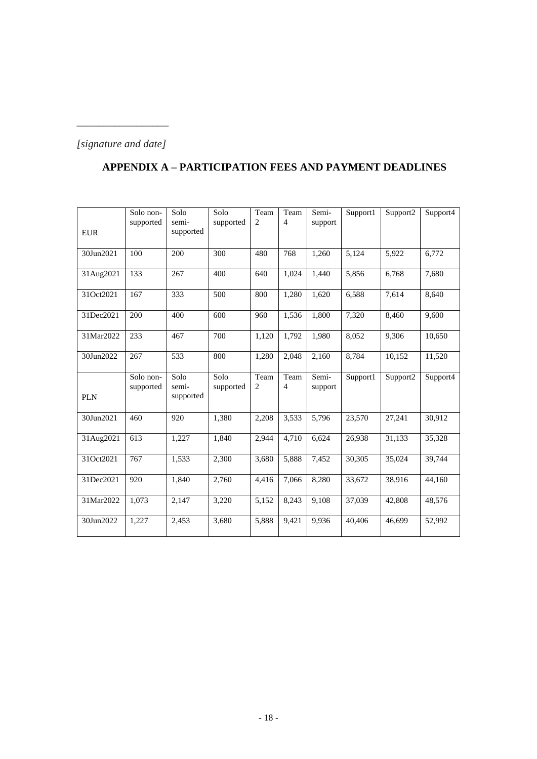## *[signature and date]*

*\_\_\_\_\_\_\_\_\_\_\_\_\_\_\_\_\_*

# **APPENDIX A – PARTICIPATION FEES AND PAYMENT DEADLINES**

| <b>EUR</b> | Solo non-<br>supported | Solo<br>semi-<br>supported | Solo<br>supported | Team<br>$\overline{c}$ | Team<br>$\overline{4}$            | Semi-<br>support | Support1 | Support2             | Support4 |
|------------|------------------------|----------------------------|-------------------|------------------------|-----------------------------------|------------------|----------|----------------------|----------|
| 30Jun2021  | 100                    | 200                        | 300               | 480                    | 768                               | 1,260            | 5,124    | 5,922                | 6,772    |
| 31Aug2021  | 133                    | 267                        | 400               | 640                    | 1,024                             | 1,440            | 5,856    | 6,768                | 7,680    |
| 31Oct2021  | 167                    | 333                        | 500               | 800                    | 1,280                             | 1,620            | 6,588    | 7,614                | 8,640    |
| 31Dec2021  | 200                    | 400                        | 600               | 960                    | 1,536                             | 1,800            | 7,320    | 8,460                | 9,600    |
| 31Mar2022  | 233                    | 467                        | 700               | 1,120                  | 1,792                             | 1.980            | 8.052    | 9,306                | 10,650   |
| 30Jun2022  | 267                    | 533                        | 800               | 1,280                  | 2,048                             | 2,160            | 8,784    | 10,152               | 11,520   |
| <b>PLN</b> | Solo non-<br>supported | Solo<br>semi-<br>supported | Solo<br>supported | Team<br>$\overline{c}$ | $\mathrm{Team}$<br>$\overline{4}$ | Semi-<br>support | Support1 | Support <sub>2</sub> | Support4 |
| 30Jun2021  | 460                    | 920                        | 1,380             | 2,208                  | 3,533                             | 5,796            | 23,570   | 27,241               | 30,912   |
| 31Aug2021  | 613                    | 1,227                      | 1,840             | 2,944                  | 4,710                             | 6,624            | 26,938   | 31,133               | 35,328   |
| 31Oct2021  | 767                    | 1,533                      | 2,300             | 3,680                  | 5,888                             | 7,452            | 30,305   | 35,024               | 39.744   |
| 31Dec2021  | 920                    | 1,840                      | 2,760             | 4,416                  | 7,066                             | 8,280            | 33,672   | 38,916               | 44,160   |
| 31Mar2022  | 1,073                  | 2,147                      | 3,220             | 5,152                  | 8,243                             | 9,108            | 37,039   | 42,808               | 48,576   |
| 30Jun2022  | 1,227                  | 2,453                      | 3,680             | 5,888                  | 9,421                             | 9,936            | 40,406   | 46.699               | 52,992   |